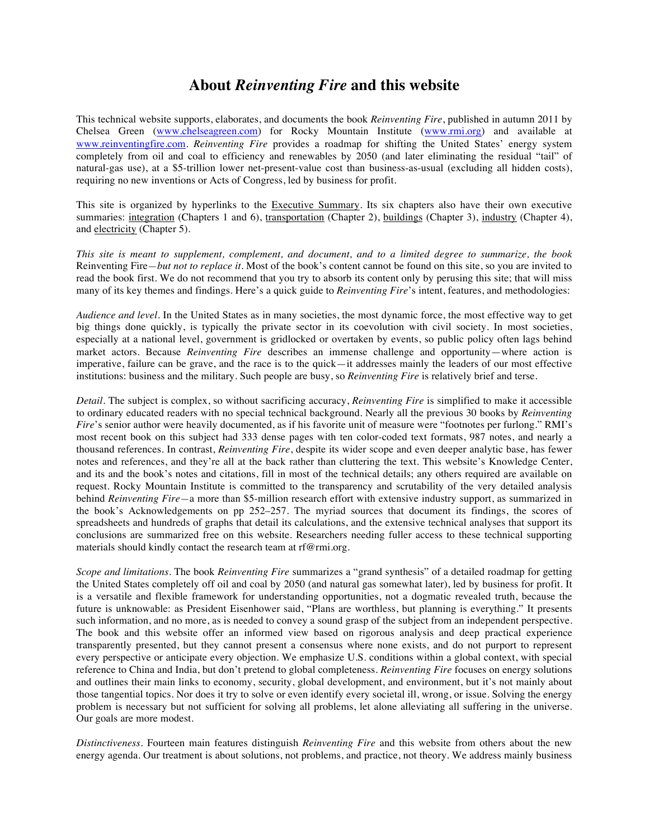## **About** *Reinventing Fire* **and this website**

This technical website supports, elaborates, and documents the book *Reinventing Fire*, published in autumn 2011 by Chelsea Green (www.chelseagreen.com) for Rocky Mountain Institute (www.rmi.org) and available at www.reinventingfire.com. *Reinventing Fire* provides a roadmap for shifting the United States' energy system completely from oil and coal to efficiency and renewables by 2050 (and later eliminating the residual "tail" of natural-gas use), at a \$5-trillion lower net-present-value cost than business-as-usual (excluding all hidden costs), requiring no new inventions or Acts of Congress, led by business for profit.

This site is organized by hyperlinks to the Executive Summary. Its six chapters also have their own executive summaries: integration (Chapters 1 and 6), transportation (Chapter 2), buildings (Chapter 3), industry (Chapter 4), and electricity (Chapter 5).

*This site is meant to supplement, complement, and document, and to a limited degree to summarize, the book*  Reinventing Fire*—but not to replace it.* Most of the book's content cannot be found on this site, so you are invited to read the book first. We do not recommend that you try to absorb its content only by perusing this site; that will miss many of its key themes and findings. Here's a quick guide to *Reinventing Fire*'s intent, features, and methodologies:

*Audience and level.* In the United States as in many societies, the most dynamic force, the most effective way to get big things done quickly, is typically the private sector in its coevolution with civil society. In most societies, especially at a national level, government is gridlocked or overtaken by events, so public policy often lags behind market actors. Because *Reinventing Fire* describes an immense challenge and opportunity—where action is imperative, failure can be grave, and the race is to the quick—it addresses mainly the leaders of our most effective institutions: business and the military. Such people are busy, so *Reinventing Fire* is relatively brief and terse.

*Detail.* The subject is complex, so without sacrificing accuracy, *Reinventing Fire* is simplified to make it accessible to ordinary educated readers with no special technical background. Nearly all the previous 30 books by *Reinventing Fire*'s senior author were heavily documented, as if his favorite unit of measure were "footnotes per furlong." RMI's most recent book on this subject had 333 dense pages with ten color-coded text formats, 987 notes, and nearly a thousand references. In contrast, *Reinventing Fire*, despite its wider scope and even deeper analytic base, has fewer notes and references, and they're all at the back rather than cluttering the text. This website's Knowledge Center, and its and the book's notes and citations, fill in most of the technical details; any others required are available on request. Rocky Mountain Institute is committed to the transparency and scrutability of the very detailed analysis behind *Reinventing Fire—*a more than \$5-million research effort with extensive industry support, as summarized in the book's Acknowledgements on pp 252–257. The myriad sources that document its findings, the scores of spreadsheets and hundreds of graphs that detail its calculations, and the extensive technical analyses that support its conclusions are summarized free on this website. Researchers needing fuller access to these technical supporting materials should kindly contact the research team at rf@rmi.org.

*Scope and limitations.* The book *Reinventing Fire* summarizes a "grand synthesis" of a detailed roadmap for getting the United States completely off oil and coal by 2050 (and natural gas somewhat later), led by business for profit. It is a versatile and flexible framework for understanding opportunities, not a dogmatic revealed truth, because the future is unknowable: as President Eisenhower said, "Plans are worthless, but planning is everything." It presents such information, and no more, as is needed to convey a sound grasp of the subject from an independent perspective. The book and this website offer an informed view based on rigorous analysis and deep practical experience transparently presented, but they cannot present a consensus where none exists, and do not purport to represent every perspective or anticipate every objection. We emphasize U.S. conditions within a global context, with special reference to China and India, but don't pretend to global completeness. *Reinventing Fire* focuses on energy solutions and outlines their main links to economy, security, global development, and environment, but it's not mainly about those tangential topics. Nor does it try to solve or even identify every societal ill, wrong, or issue. Solving the energy problem is necessary but not sufficient for solving all problems, let alone alleviating all suffering in the universe. Our goals are more modest.

*Distinctiveness.* Fourteen main features distinguish *Reinventing Fire* and this website from others about the new energy agenda. Our treatment is about solutions, not problems, and practice, not theory. We address mainly business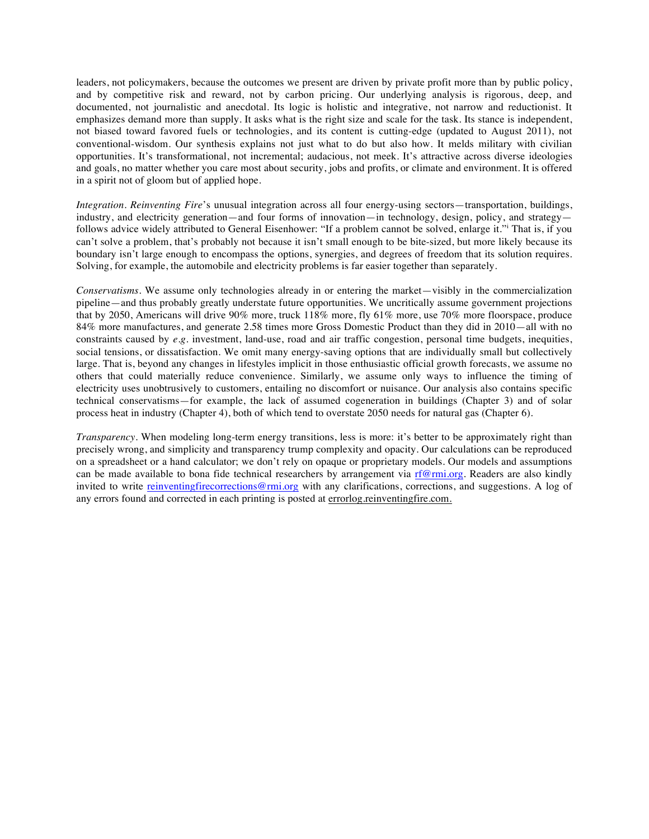leaders, not policymakers, because the outcomes we present are driven by private profit more than by public policy, and by competitive risk and reward, not by carbon pricing. Our underlying analysis is rigorous, deep, and documented, not journalistic and anecdotal. Its logic is holistic and integrative, not narrow and reductionist. It emphasizes demand more than supply. It asks what is the right size and scale for the task. Its stance is independent, not biased toward favored fuels or technologies, and its content is cutting-edge (updated to August 2011), not conventional-wisdom. Our synthesis explains not just what to do but also how. It melds military with civilian opportunities. It's transformational, not incremental; audacious, not meek. It's attractive across diverse ideologies and goals, no matter whether you care most about security, jobs and profits, or climate and environment. It is offered in a spirit not of gloom but of applied hope.

*Integration*. *Reinventing Fire*'s unusual integration across all four energy-using sectors—transportation, buildings, industry, and electricity generation—and four forms of innovation—in technology, design, policy, and strategy follows advice widely attributed to General Eisenhower: "If a problem cannot be solved, enlarge it." That is, if you can't solve a problem, that's probably not because it isn't small enough to be bite-sized, but more likely because its boundary isn't large enough to encompass the options, synergies, and degrees of freedom that its solution requires. Solving, for example, the automobile and electricity problems is far easier together than separately.

*Conservatisms.* We assume only technologies already in or entering the market—visibly in the commercialization pipeline—and thus probably greatly understate future opportunities. We uncritically assume government projections that by 2050, Americans will drive 90% more, truck 118% more, fly 61% more, use 70% more floorspace, produce 84% more manufactures, and generate 2.58 times more Gross Domestic Product than they did in 2010—all with no constraints caused by *e.g.* investment, land-use, road and air traffic congestion, personal time budgets, inequities, social tensions, or dissatisfaction. We omit many energy-saving options that are individually small but collectively large. That is, beyond any changes in lifestyles implicit in those enthusiastic official growth forecasts, we assume no others that could materially reduce convenience. Similarly, we assume only ways to influence the timing of electricity uses unobtrusively to customers, entailing no discomfort or nuisance. Our analysis also contains specific technical conservatisms—for example, the lack of assumed cogeneration in buildings (Chapter 3) and of solar process heat in industry (Chapter 4), both of which tend to overstate 2050 needs for natural gas (Chapter 6).

*Transparency.* When modeling long-term energy transitions, less is more: it's better to be approximately right than precisely wrong, and simplicity and transparency trump complexity and opacity. Our calculations can be reproduced on a spreadsheet or a hand calculator; we don't rely on opaque or proprietary models. Our models and assumptions can be made available to bona fide technical researchers by arrangement via rf $@$ rmi.org. Readers are also kindly invited to write reinventingfirecorrections@rmi.org with any clarifications, corrections, and suggestions. A log of any errors found and corrected in each printing is posted at errorlog.reinventingfire.com.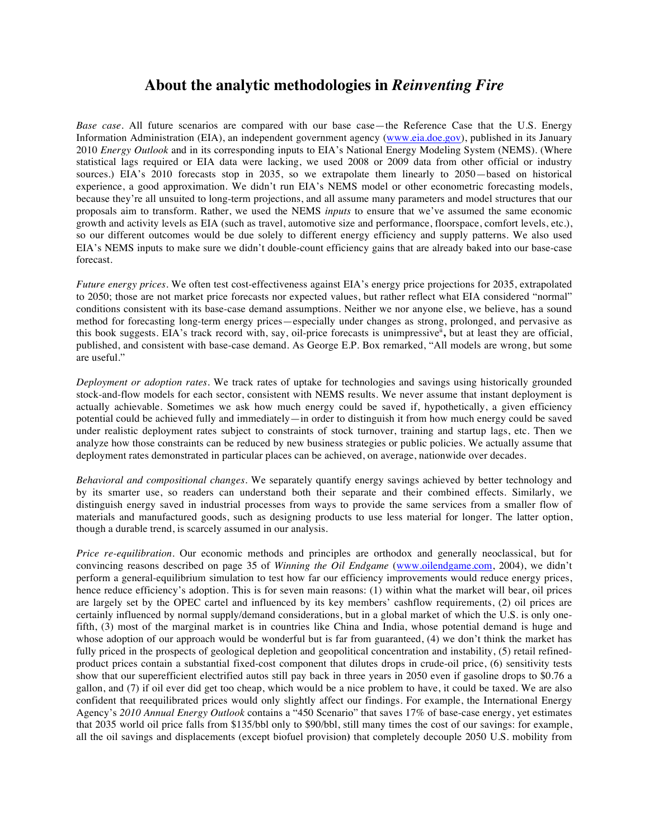## **About the analytic methodologies in** *Reinventing Fire*

*Base case.* All future scenarios are compared with our base case—the Reference Case that the U.S. Energy Information Administration (EIA), an independent government agency (www.eia.doe.gov), published in its January 2010 *Energy Outlook* and in its corresponding inputs to EIA's National Energy Modeling System (NEMS). (Where statistical lags required or EIA data were lacking, we used 2008 or 2009 data from other official or industry sources.) EIA's 2010 forecasts stop in 2035, so we extrapolate them linearly to 2050—based on historical experience, a good approximation. We didn't run EIA's NEMS model or other econometric forecasting models, because they're all unsuited to long-term projections, and all assume many parameters and model structures that our proposals aim to transform. Rather, we used the NEMS *inputs* to ensure that we've assumed the same economic growth and activity levels as EIA (such as travel, automotive size and performance, floorspace, comfort levels, etc.), so our different outcomes would be due solely to different energy efficiency and supply patterns. We also used EIA's NEMS inputs to make sure we didn't double-count efficiency gains that are already baked into our base-case forecast.

*Future energy prices.* We often test cost-effectiveness against EIA's energy price projections for 2035, extrapolated to 2050; those are not market price forecasts nor expected values, but rather reflect what EIA considered "normal" conditions consistent with its base-case demand assumptions. Neither we nor anyone else, we believe, has a sound method for forecasting long-term energy prices—especially under changes as strong, prolonged, and pervasive as this book suggests. EIA's track record with, say, oil-price forecasts is unimpressive<sup>ii</sup>, but at least they are official, published, and consistent with base-case demand. As George E.P. Box remarked, "All models are wrong, but some are useful."

*Deployment or adoption rates.* We track rates of uptake for technologies and savings using historically grounded stock-and-flow models for each sector, consistent with NEMS results. We never assume that instant deployment is actually achievable. Sometimes we ask how much energy could be saved if, hypothetically, a given efficiency potential could be achieved fully and immediately—in order to distinguish it from how much energy could be saved under realistic deployment rates subject to constraints of stock turnover, training and startup lags, etc. Then we analyze how those constraints can be reduced by new business strategies or public policies. We actually assume that deployment rates demonstrated in particular places can be achieved, on average, nationwide over decades.

*Behavioral and compositional changes.* We separately quantify energy savings achieved by better technology and by its smarter use, so readers can understand both their separate and their combined effects. Similarly, we distinguish energy saved in industrial processes from ways to provide the same services from a smaller flow of materials and manufactured goods, such as designing products to use less material for longer. The latter option, though a durable trend, is scarcely assumed in our analysis.

*Price re-equilibration.* Our economic methods and principles are orthodox and generally neoclassical, but for convincing reasons described on page 35 of *Winning the Oil Endgame* (www.oilendgame.com, 2004), we didn't perform a general-equilibrium simulation to test how far our efficiency improvements would reduce energy prices, hence reduce efficiency's adoption. This is for seven main reasons: (1) within what the market will bear, oil prices are largely set by the OPEC cartel and influenced by its key members' cashflow requirements, (2) oil prices are certainly influenced by normal supply/demand considerations, but in a global market of which the U.S. is only onefifth, (3) most of the marginal market is in countries like China and India, whose potential demand is huge and whose adoption of our approach would be wonderful but is far from guaranteed, (4) we don't think the market has fully priced in the prospects of geological depletion and geopolitical concentration and instability, (5) retail refinedproduct prices contain a substantial fixed-cost component that dilutes drops in crude-oil price, (6) sensitivity tests show that our superefficient electrified autos still pay back in three years in 2050 even if gasoline drops to \$0.76 a gallon, and (7) if oil ever did get too cheap, which would be a nice problem to have, it could be taxed. We are also confident that reequilibrated prices would only slightly affect our findings. For example, the International Energy Agency's *2010 Annual Energy Outlook* contains a "450 Scenario" that saves 17% of base-case energy, yet estimates that 2035 world oil price falls from \$135/bbl only to \$90/bbl, still many times the cost of our savings: for example, all the oil savings and displacements (except biofuel provision**)** that completely decouple 2050 U.S. mobility from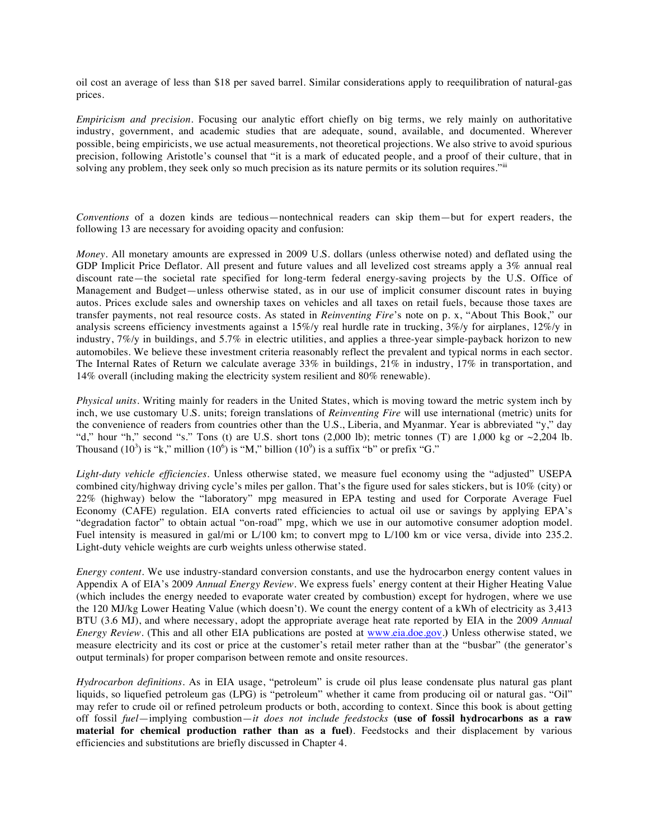oil cost an average of less than \$18 per saved barrel. Similar considerations apply to reequilibration of natural-gas prices.

*Empiricism and precision.* Focusing our analytic effort chiefly on big terms, we rely mainly on authoritative industry, government, and academic studies that are adequate, sound, available, and documented. Wherever possible, being empiricists, we use actual measurements, not theoretical projections. We also strive to avoid spurious precision, following Aristotle's counsel that "it is a mark of educated people, and a proof of their culture, that in solving any problem, they seek only so much precision as its nature permits or its solution requires."<sup>iii</sup>

*Conventions* of a dozen kinds are tedious—nontechnical readers can skip them—but for expert readers, the following 13 are necessary for avoiding opacity and confusion:

*Money*. All monetary amounts are expressed in 2009 U.S. dollars (unless otherwise noted) and deflated using the GDP Implicit Price Deflator. All present and future values and all levelized cost streams apply a 3% annual real discount rate—the societal rate specified for long-term federal energy-saving projects by the U.S. Office of Management and Budget—unless otherwise stated, as in our use of implicit consumer discount rates in buying autos. Prices exclude sales and ownership taxes on vehicles and all taxes on retail fuels, because those taxes are transfer payments, not real resource costs. As stated in *Reinventing Fire*'s note on p. x, "About This Book," our analysis screens efficiency investments against a 15%/y real hurdle rate in trucking, 3%/y for airplanes, 12%/y in industry, 7%/y in buildings, and 5.7% in electric utilities, and applies a three-year simple-payback horizon to new automobiles. We believe these investment criteria reasonably reflect the prevalent and typical norms in each sector. The Internal Rates of Return we calculate average 33% in buildings, 21% in industry, 17% in transportation, and 14% overall (including making the electricity system resilient and 80% renewable).

*Physical units.* Writing mainly for readers in the United States, which is moving toward the metric system inch by inch, we use customary U.S. units; foreign translations of *Reinventing Fire* will use international (metric) units for the convenience of readers from countries other than the U.S., Liberia, and Myanmar. Year is abbreviated "y," day "d," hour "h," second "s." Tons (t) are U.S. short tons  $(2,000 \text{ lb})$ ; metric tonnes (T) are 1,000 kg or  $\sim$ 2,204 lb. Thousand  $(10^3)$  is "k," million  $(10^6)$  is "M," billion  $(10^9)$  is a suffix "b" or prefix "G."

*Light-duty vehicle efficiencies*. Unless otherwise stated, we measure fuel economy using the "adjusted" USEPA combined city/highway driving cycle's miles per gallon. That's the figure used for sales stickers, but is 10% (city) or 22% (highway) below the "laboratory" mpg measured in EPA testing and used for Corporate Average Fuel Economy (CAFE) regulation. EIA converts rated efficiencies to actual oil use or savings by applying EPA's "degradation factor" to obtain actual "on-road" mpg, which we use in our automotive consumer adoption model. Fuel intensity is measured in gal/mi or L/100 km; to convert mpg to L/100 km or vice versa, divide into 235.2. Light-duty vehicle weights are curb weights unless otherwise stated.

*Energy content.* We use industry-standard conversion constants, and use the hydrocarbon energy content values in Appendix A of EIA's 2009 *Annual Energy Review*. We express fuels' energy content at their Higher Heating Value (which includes the energy needed to evaporate water created by combustion) except for hydrogen, where we use the 120 MJ/kg Lower Heating Value (which doesn't). We count the energy content of a kWh of electricity as 3,413 BTU (3.6 MJ), and where necessary, adopt the appropriate average heat rate reported by EIA in the 2009 *Annual Energy Review*. (This and all other EIA publications are posted at www.eia.doe.gov.**)** Unless otherwise stated, we measure electricity and its cost or price at the customer's retail meter rather than at the "busbar" (the generator's output terminals) for proper comparison between remote and onsite resources.

*Hydrocarbon definitions.* As in EIA usage, "petroleum" is crude oil plus lease condensate plus natural gas plant liquids, so liquefied petroleum gas (LPG) is "petroleum" whether it came from producing oil or natural gas. "Oil" may refer to crude oil or refined petroleum products or both, according to context. Since this book is about getting off fossil *fuel*—implying combustion—*it does not include feedstocks* **(use of fossil hydrocarbons as a raw material for chemical production rather than as a fuel)***.* Feedstocks and their displacement by various efficiencies and substitutions are briefly discussed in Chapter 4.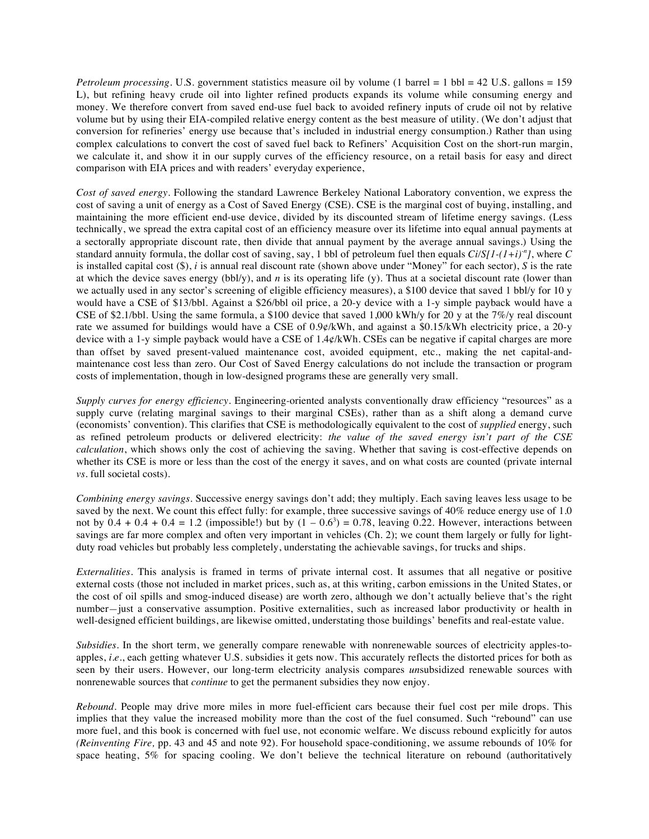*Petroleum processing.* U.S. government statistics measure oil by volume (1 barrel = 1 bbl = 42 U.S. gallons = 159 L), but refining heavy crude oil into lighter refined products expands its volume while consuming energy and money. We therefore convert from saved end-use fuel back to avoided refinery inputs of crude oil not by relative volume but by using their EIA-compiled relative energy content as the best measure of utility. (We don't adjust that conversion for refineries' energy use because that's included in industrial energy consumption.) Rather than using complex calculations to convert the cost of saved fuel back to Refiners' Acquisition Cost on the short-run margin, we calculate it, and show it in our supply curves of the efficiency resource, on a retail basis for easy and direct comparison with EIA prices and with readers' everyday experience,

*Cost of saved energy*. Following the standard Lawrence Berkeley National Laboratory convention, we express the cost of saving a unit of energy as a Cost of Saved Energy (CSE). CSE is the marginal cost of buying, installing, and maintaining the more efficient end-use device, divided by its discounted stream of lifetime energy savings. (Less technically, we spread the extra capital cost of an efficiency measure over its lifetime into equal annual payments at a sectorally appropriate discount rate, then divide that annual payment by the average annual savings.) Using the standard annuity formula, the dollar cost of saving, say, 1 bbl of petroleum fuel then equals *Ci/S[1-(1+i)-n ]*, where *C*  is installed capital cost (\$), *i* is annual real discount rate (shown above under "Money" for each sector), *S* is the rate at which the device saves energy (bbl/y), and  $n$  is its operating life (y). Thus at a societal discount rate (lower than we actually used in any sector's screening of eligible efficiency measures), a \$100 device that saved 1 bbl/y for 10 y would have a CSE of \$13/bbl. Against a \$26/bbl oil price, a 20-y device with a 1-y simple payback would have a CSE of \$2.1/bbl. Using the same formula, a \$100 device that saved 1,000 kWh/y for 20 y at the 7%/y real discount rate we assumed for buildings would have a CSE of 0.9¢/kWh, and against a \$0.15/kWh electricity price, a 20-y device with a 1-y simple payback would have a CSE of 1.4¢/kWh. CSEs can be negative if capital charges are more than offset by saved present-valued maintenance cost, avoided equipment, etc., making the net capital-andmaintenance cost less than zero. Our Cost of Saved Energy calculations do not include the transaction or program costs of implementation, though in low-designed programs these are generally very small.

*Supply curves for energy efficiency*. Engineering*-*oriented analysts conventionally draw efficiency "resources" as a supply curve (relating marginal savings to their marginal CSEs), rather than as a shift along a demand curve (economists' convention). This clarifies that CSE is methodologically equivalent to the cost of *supplied* energy, such as refined petroleum products or delivered electricity: *the value of the saved energy isn't part of the CSE calculation*, which shows only the cost of achieving the saving. Whether that saving is cost-effective depends on whether its CSE is more or less than the cost of the energy it saves, and on what costs are counted (private internal *vs.* full societal costs).

*Combining energy savings*. Successive energy savings don't add; they multiply. Each saving leaves less usage to be saved by the next. We count this effect fully: for example, three successive savings of 40% reduce energy use of 1.0 not by  $0.4 + 0.4 + 0.4 = 1.2$  (impossible!) but by  $(1 - 0.6^3) = 0.78$ , leaving 0.22. However, interactions between savings are far more complex and often very important in vehicles (Ch. 2); we count them largely or fully for lightduty road vehicles but probably less completely, understating the achievable savings, for trucks and ships.

*Externalities*. This analysis is framed in terms of private internal cost. It assumes that all negative or positive external costs (those not included in market prices, such as, at this writing, carbon emissions in the United States, or the cost of oil spills and smog-induced disease) are worth zero, although we don't actually believe that's the right number*—*just a conservative assumption. Positive externalities, such as increased labor productivity or health in well-designed efficient buildings, are likewise omitted, understating those buildings' benefits and real-estate value.

*Subsidies*. In the short term, we generally compare renewable with nonrenewable sources of electricity apples-toapples, *i.e.*, each getting whatever U.S. subsidies it gets now. This accurately reflects the distorted prices for both as seen by their users. However, our long-term electricity analysis compares *un*subsidized renewable sources with nonrenewable sources that *continue* to get the permanent subsidies they now enjoy.

*Rebound.* People may drive more miles in more fuel-efficient cars because their fuel cost per mile drops. This implies that they value the increased mobility more than the cost of the fuel consumed. Such "rebound" can use more fuel, and this book is concerned with fuel use, not economic welfare. We discuss rebound explicitly for autos *(Reinventing Fire,* pp. 43 and 45 and note 92). For household space-conditioning, we assume rebounds of 10% for space heating, 5% for spacing cooling. We don't believe the technical literature on rebound (authoritatively